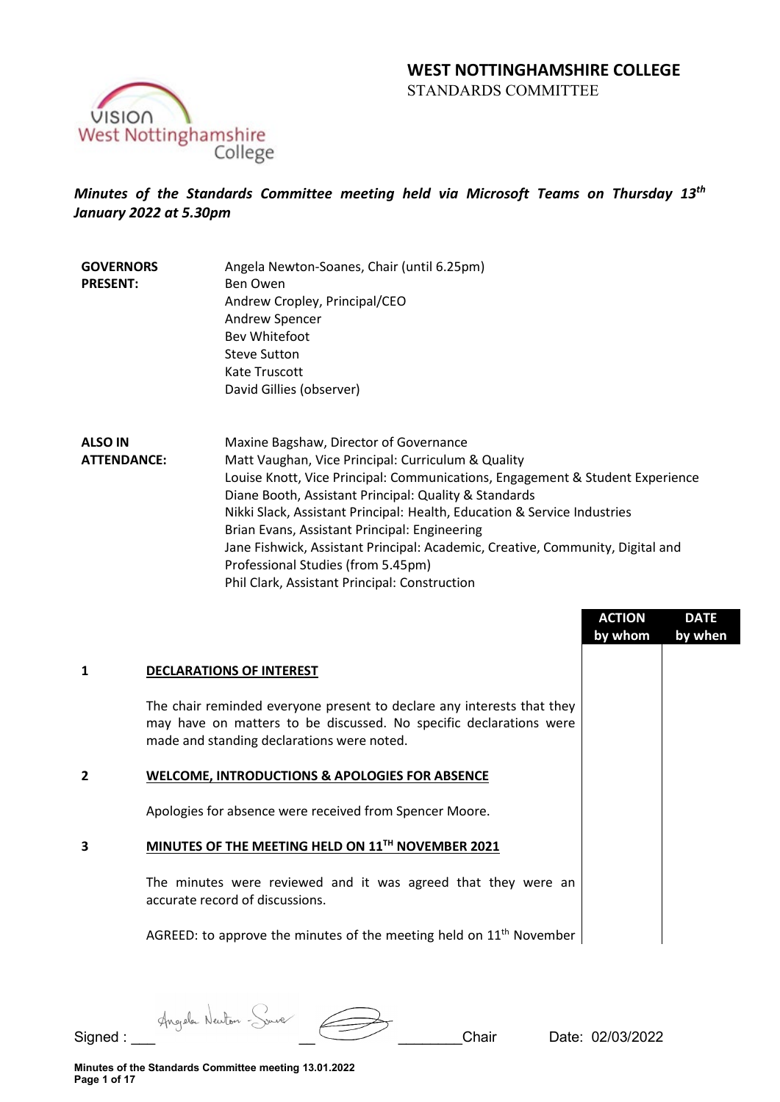

# *Minutes of the Standards Committee meeting held via Microsoft Teams on Thursday 13th January 2022 at 5.30pm*

**GOVERNORS PRESENT:** Angela Newton-Soanes, Chair (until 6.25pm) Ben Owen Andrew Cropley, Principal/CEO Andrew Spencer Bev Whitefoot Steve Sutton Kate Truscott David Gillies (observer)

**ALSO IN ATTENDANCE:** Maxine Bagshaw, Director of Governance Matt Vaughan, Vice Principal: Curriculum & Quality Louise Knott, Vice Principal: Communications, Engagement & Student Experience Diane Booth, Assistant Principal: Quality & Standards Nikki Slack, Assistant Principal: Health, Education & Service Industries Brian Evans, Assistant Principal: Engineering Jane Fishwick, Assistant Principal: Academic, Creative, Community, Digital and Professional Studies (from 5.45pm) Phil Clark, Assistant Principal: Construction

|   |                                                                                                                                                                                            | <b>ACTION</b><br>by whom | <b>DATE</b><br>by when |
|---|--------------------------------------------------------------------------------------------------------------------------------------------------------------------------------------------|--------------------------|------------------------|
|   | <b>DECLARATIONS OF INTEREST</b>                                                                                                                                                            |                          |                        |
|   | The chair reminded everyone present to declare any interests that they<br>may have on matters to be discussed. No specific declarations were<br>made and standing declarations were noted. |                          |                        |
| 2 | <b>WELCOME, INTRODUCTIONS &amp; APOLOGIES FOR ABSENCE</b>                                                                                                                                  |                          |                        |
|   | Apologies for absence were received from Spencer Moore.                                                                                                                                    |                          |                        |
| 3 | MINUTES OF THE MEETING HELD ON 11TH NOVEMBER 2021                                                                                                                                          |                          |                        |
|   | The minutes were reviewed and it was agreed that they were an<br>accurate record of discussions.                                                                                           |                          |                        |
|   | AGREED: to approve the minutes of the meeting held on $11th$ November                                                                                                                      |                          |                        |
|   |                                                                                                                                                                                            |                          |                        |

Signed : \_\_\_ \_\_ \_\_\_\_\_\_\_\_Chair Date: 02/03/2022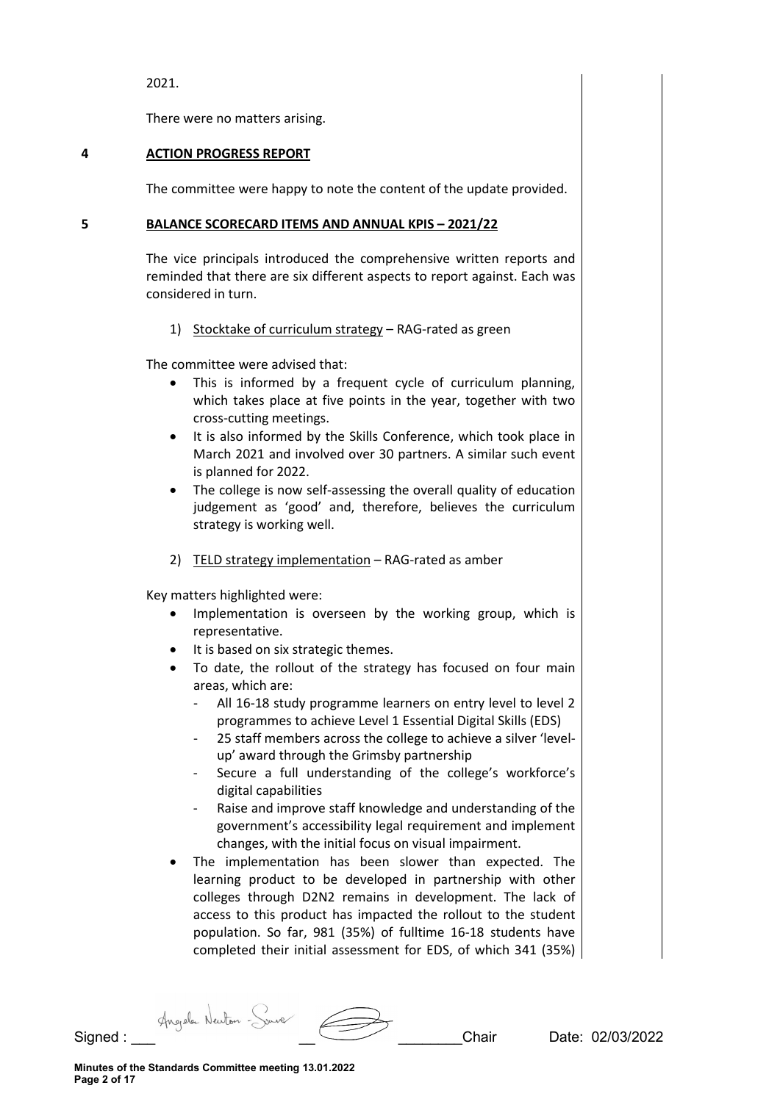2021.

There were no matters arising.

### **4 ACTION PROGRESS REPORT**

The committee were happy to note the content of the update provided.

### **5 BALANCE SCORECARD ITEMS AND ANNUAL KPIS – 2021/22**

The vice principals introduced the comprehensive written reports and reminded that there are six different aspects to report against. Each was considered in turn.

1) Stocktake of curriculum strategy – RAG-rated as green

The committee were advised that:

- This is informed by a frequent cycle of curriculum planning, which takes place at five points in the year, together with two cross-cutting meetings.
- It is also informed by the Skills Conference, which took place in March 2021 and involved over 30 partners. A similar such event is planned for 2022.
- The college is now self-assessing the overall quality of education judgement as 'good' and, therefore, believes the curriculum strategy is working well.
- 2) TELD strategy implementation RAG-rated as amber

Key matters highlighted were:

- Implementation is overseen by the working group, which is representative.
- It is based on six strategic themes.
- To date, the rollout of the strategy has focused on four main areas, which are:
	- All 16-18 study programme learners on entry level to level 2 programmes to achieve Level 1 Essential Digital Skills (EDS)
	- 25 staff members across the college to achieve a silver 'levelup' award through the Grimsby partnership
	- Secure a full understanding of the college's workforce's digital capabilities
	- Raise and improve staff knowledge and understanding of the government's accessibility legal requirement and implement changes, with the initial focus on visual impairment.
- The implementation has been slower than expected. The learning product to be developed in partnership with other colleges through D2N2 remains in development. The lack of access to this product has impacted the rollout to the student population. So far, 981 (35%) of fulltime 16-18 students have completed their initial assessment for EDS, of which 341 (35%)

Signed : Angele Neuton Source 2003/2022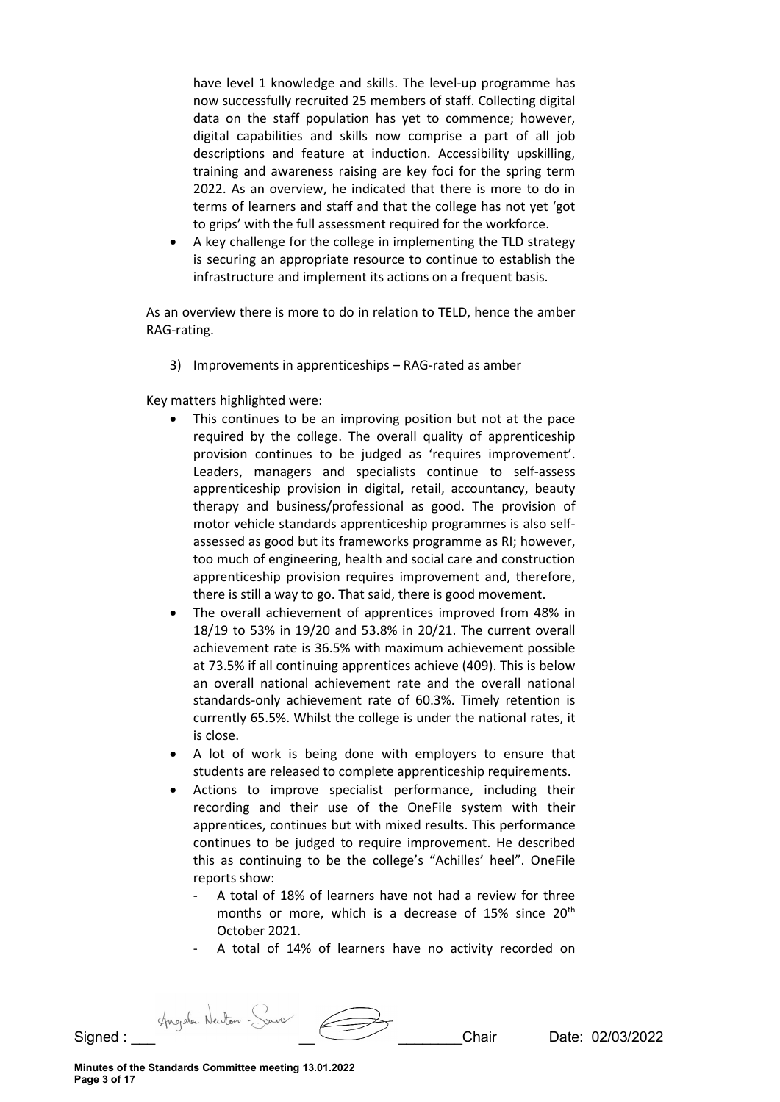have level 1 knowledge and skills. The level-up programme has now successfully recruited 25 members of staff. Collecting digital data on the staff population has yet to commence; however, digital capabilities and skills now comprise a part of all job descriptions and feature at induction. Accessibility upskilling, training and awareness raising are key foci for the spring term 2022. As an overview, he indicated that there is more to do in terms of learners and staff and that the college has not yet 'got to grips' with the full assessment required for the workforce.

• A key challenge for the college in implementing the TLD strategy is securing an appropriate resource to continue to establish the infrastructure and implement its actions on a frequent basis.

As an overview there is more to do in relation to TELD, hence the amber RAG-rating.

3) Improvements in apprenticeships - RAG-rated as amber

Key matters highlighted were:

- This continues to be an improving position but not at the pace required by the college. The overall quality of apprenticeship provision continues to be judged as 'requires improvement'. Leaders, managers and specialists continue to self-assess apprenticeship provision in digital, retail, accountancy, beauty therapy and business/professional as good. The provision of motor vehicle standards apprenticeship programmes is also selfassessed as good but its frameworks programme as RI; however, too much of engineering, health and social care and construction apprenticeship provision requires improvement and, therefore, there is still a way to go. That said, there is good movement.
- The overall achievement of apprentices improved from 48% in 18/19 to 53% in 19/20 and 53.8% in 20/21. The current overall achievement rate is 36.5% with maximum achievement possible at 73.5% if all continuing apprentices achieve (409). This is below an overall national achievement rate and the overall national standards-only achievement rate of 60.3%. Timely retention is currently 65.5%. Whilst the college is under the national rates, it is close.
- A lot of work is being done with employers to ensure that students are released to complete apprenticeship requirements.
- Actions to improve specialist performance, including their recording and their use of the OneFile system with their apprentices, continues but with mixed results. This performance continues to be judged to require improvement. He described this as continuing to be the college's "Achilles' heel". OneFile reports show:
	- A total of 18% of learners have not had a review for three months or more, which is a decrease of 15% since 20<sup>th</sup> October 2021.
	- A total of 14% of learners have no activity recorded on

Signed : \_\_\_ \_\_ \_\_\_\_\_\_\_\_Chair Date: 02/03/2022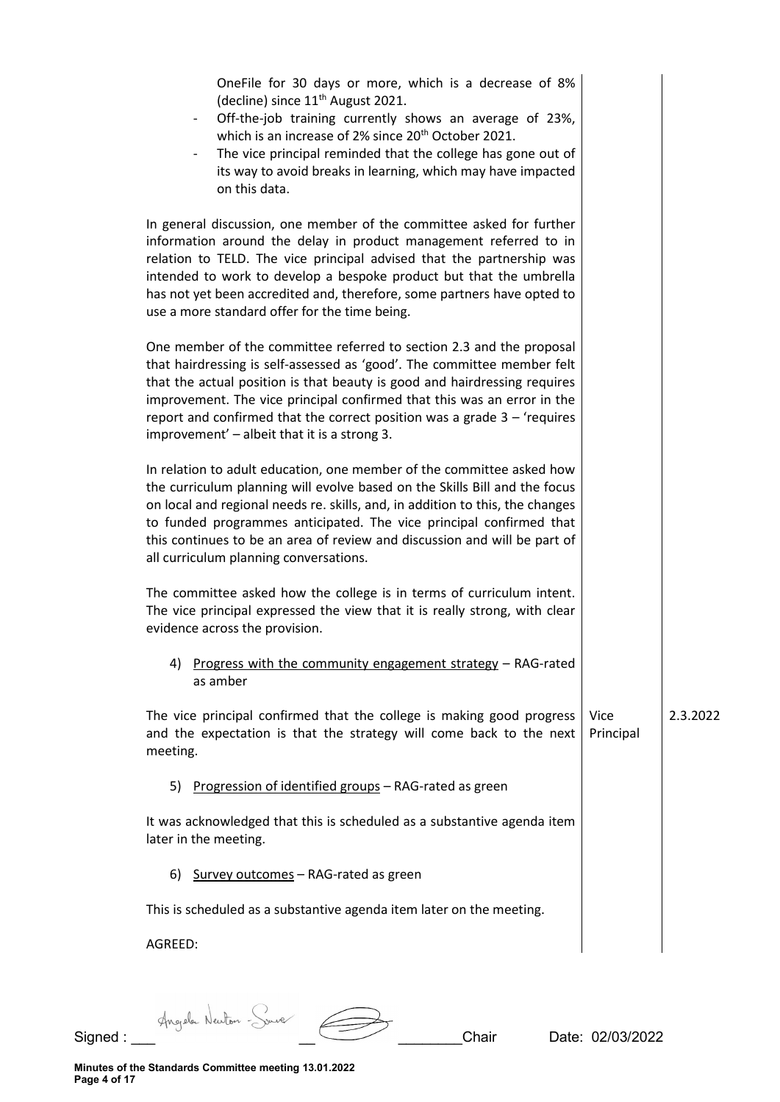| OneFile for 30 days or more, which is a decrease of 8%<br>(decline) since 11 <sup>th</sup> August 2021.<br>Off-the-job training currently shows an average of 23%,<br>$\overline{\phantom{a}}$<br>which is an increase of 2% since 20 <sup>th</sup> October 2021.<br>The vice principal reminded that the college has gone out of<br>its way to avoid breaks in learning, which may have impacted<br>on this data.                     |                   |          |
|----------------------------------------------------------------------------------------------------------------------------------------------------------------------------------------------------------------------------------------------------------------------------------------------------------------------------------------------------------------------------------------------------------------------------------------|-------------------|----------|
| In general discussion, one member of the committee asked for further<br>information around the delay in product management referred to in<br>relation to TELD. The vice principal advised that the partnership was<br>intended to work to develop a bespoke product but that the umbrella<br>has not yet been accredited and, therefore, some partners have opted to<br>use a more standard offer for the time being.                  |                   |          |
| One member of the committee referred to section 2.3 and the proposal<br>that hairdressing is self-assessed as 'good'. The committee member felt<br>that the actual position is that beauty is good and hairdressing requires<br>improvement. The vice principal confirmed that this was an error in the<br>report and confirmed that the correct position was a grade $3 - '$ requires<br>improvement' - albeit that it is a strong 3. |                   |          |
| In relation to adult education, one member of the committee asked how<br>the curriculum planning will evolve based on the Skills Bill and the focus<br>on local and regional needs re. skills, and, in addition to this, the changes<br>to funded programmes anticipated. The vice principal confirmed that<br>this continues to be an area of review and discussion and will be part of<br>all curriculum planning conversations.     |                   |          |
| The committee asked how the college is in terms of curriculum intent.<br>The vice principal expressed the view that it is really strong, with clear<br>evidence across the provision.                                                                                                                                                                                                                                                  |                   |          |
| Progress with the community engagement strategy - RAG-rated<br>4)<br>as amber                                                                                                                                                                                                                                                                                                                                                          |                   |          |
| The vice principal confirmed that the college is making good progress<br>and the expectation is that the strategy will come back to the next<br>meeting.                                                                                                                                                                                                                                                                               | Vice<br>Principal | 2.3.2022 |
| 5) Progression of identified groups - RAG-rated as green                                                                                                                                                                                                                                                                                                                                                                               |                   |          |
| It was acknowledged that this is scheduled as a substantive agenda item<br>later in the meeting.                                                                                                                                                                                                                                                                                                                                       |                   |          |
| 6)<br>Survey outcomes - RAG-rated as green                                                                                                                                                                                                                                                                                                                                                                                             |                   |          |
| This is scheduled as a substantive agenda item later on the meeting.                                                                                                                                                                                                                                                                                                                                                                   |                   |          |
| AGREED:                                                                                                                                                                                                                                                                                                                                                                                                                                |                   |          |

Signed : \_\_\_ Angele Newton - Source \_\_\_\_\_\_\_\_\_\_\_\_\_\_\_\_\_\_\_\_\_\_\_\_Chair Date: 02/03/2022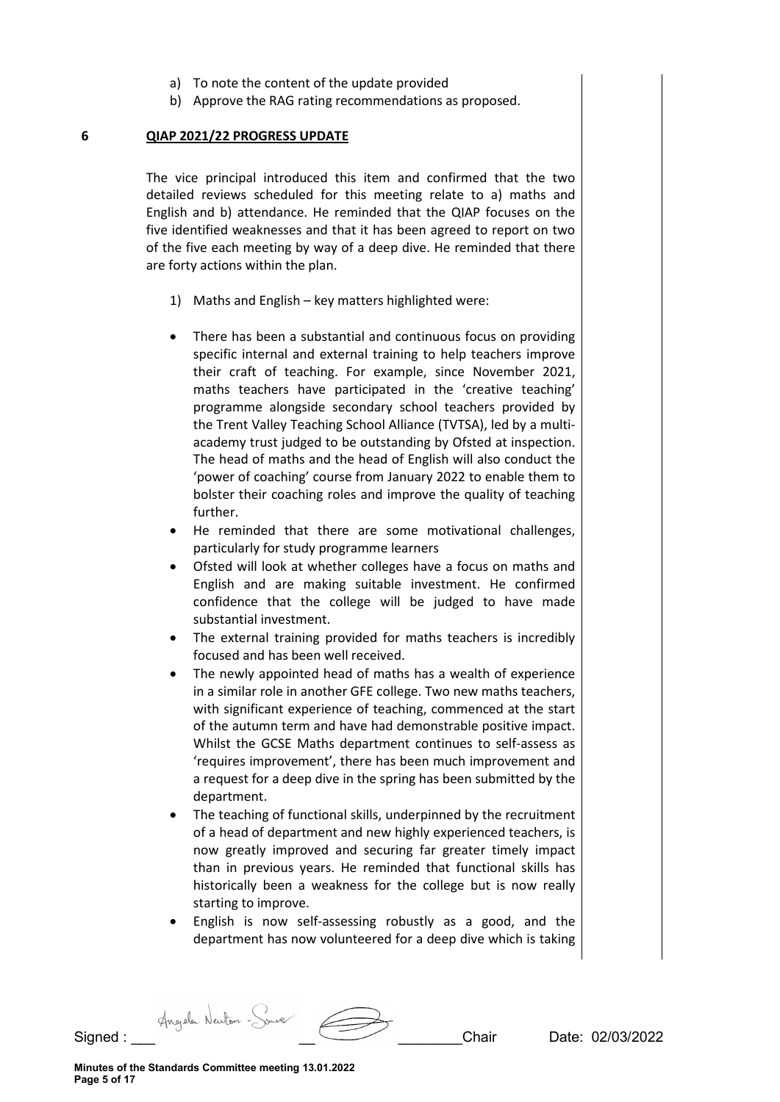- a) To note the content of the update provided
- b) Approve the RAG rating recommendations as proposed.

#### **6 QIAP 2021/22 PROGRESS UPDATE**

The vice principal introduced this item and confirmed that the two detailed reviews scheduled for this meeting relate to a) maths and English and b) attendance. He reminded that the QIAP focuses on the five identified weaknesses and that it has been agreed to report on two of the five each meeting by way of a deep dive. He reminded that there are forty actions within the plan.

- 1) Maths and English key matters highlighted were:
- There has been a substantial and continuous focus on providing specific internal and external training to help teachers improve their craft of teaching. For example, since November 2021, maths teachers have participated in the 'creative teaching' programme alongside secondary school teachers provided by the Trent Valley Teaching School Alliance (TVTSA), led by a multiacademy trust judged to be outstanding by Ofsted at inspection. The head of maths and the head of English will also conduct the 'power of coaching' course from January 2022 to enable them to bolster their coaching roles and improve the quality of teaching further.
- He reminded that there are some motivational challenges, particularly for study programme learners
- Ofsted will look at whether colleges have a focus on maths and English and are making suitable investment. He confirmed confidence that the college will be judged to have made substantial investment.
- The external training provided for maths teachers is incredibly focused and has been well received.
- The newly appointed head of maths has a wealth of experience in a similar role in another GFE college. Two new maths teachers, with significant experience of teaching, commenced at the start of the autumn term and have had demonstrable positive impact. Whilst the GCSE Maths department continues to self-assess as 'requires improvement', there has been much improvement and a request for a deep dive in the spring has been submitted by the department.
- The teaching of functional skills, underpinned by the recruitment of a head of department and new highly experienced teachers, is now greatly improved and securing far greater timely impact than in previous years. He reminded that functional skills has historically been a weakness for the college but is now really starting to improve.
- English is now self-assessing robustly as a good, and the department has now volunteered for a deep dive which is taking

Signed : \_\_\_ \_\_ \_\_\_\_\_\_\_\_Chair Date: 02/03/2022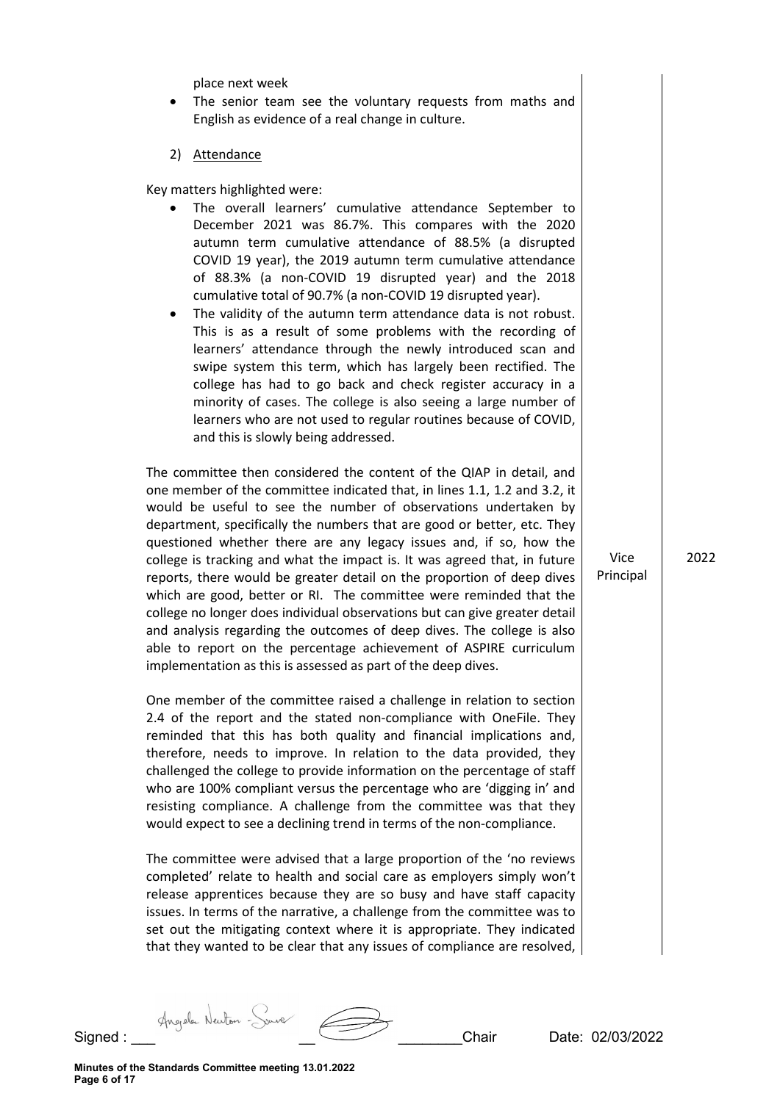place next week

- The senior team see the voluntary requests from maths and English as evidence of a real change in culture.
- 2) Attendance

Key matters highlighted were:

- The overall learners' cumulative attendance September to December 2021 was 86.7%. This compares with the 2020 autumn term cumulative attendance of 88.5% (a disrupted COVID 19 year), the 2019 autumn term cumulative attendance of 88.3% (a non-COVID 19 disrupted year) and the 2018 cumulative total of 90.7% (a non-COVID 19 disrupted year).
- The validity of the autumn term attendance data is not robust. This is as a result of some problems with the recording of learners' attendance through the newly introduced scan and swipe system this term, which has largely been rectified. The college has had to go back and check register accuracy in a minority of cases. The college is also seeing a large number of learners who are not used to regular routines because of COVID, and this is slowly being addressed.

The committee then considered the content of the QIAP in detail, and one member of the committee indicated that, in lines 1.1, 1.2 and 3.2, it would be useful to see the number of observations undertaken by department, specifically the numbers that are good or better, etc. They questioned whether there are any legacy issues and, if so, how the college is tracking and what the impact is. It was agreed that, in future reports, there would be greater detail on the proportion of deep dives which are good, better or RI. The committee were reminded that the college no longer does individual observations but can give greater detail and analysis regarding the outcomes of deep dives. The college is also able to report on the percentage achievement of ASPIRE curriculum implementation as this is assessed as part of the deep dives.

One member of the committee raised a challenge in relation to section 2.4 of the report and the stated non-compliance with OneFile. They reminded that this has both quality and financial implications and, therefore, needs to improve. In relation to the data provided, they challenged the college to provide information on the percentage of staff who are 100% compliant versus the percentage who are 'digging in' and resisting compliance. A challenge from the committee was that they would expect to see a declining trend in terms of the non-compliance.

The committee were advised that a large proportion of the 'no reviews completed' relate to health and social care as employers simply won't release apprentices because they are so busy and have staff capacity issues. In terms of the narrative, a challenge from the committee was to set out the mitigating context where it is appropriate. They indicated that they wanted to be clear that any issues of compliance are resolved,

Vice Principal 2022

Signed : Angela Newton - Source \_ \_ \_ \_ \_ \_ \_ \_ \_ \_ \_ \_ \_ Chair Date: 02/03/2022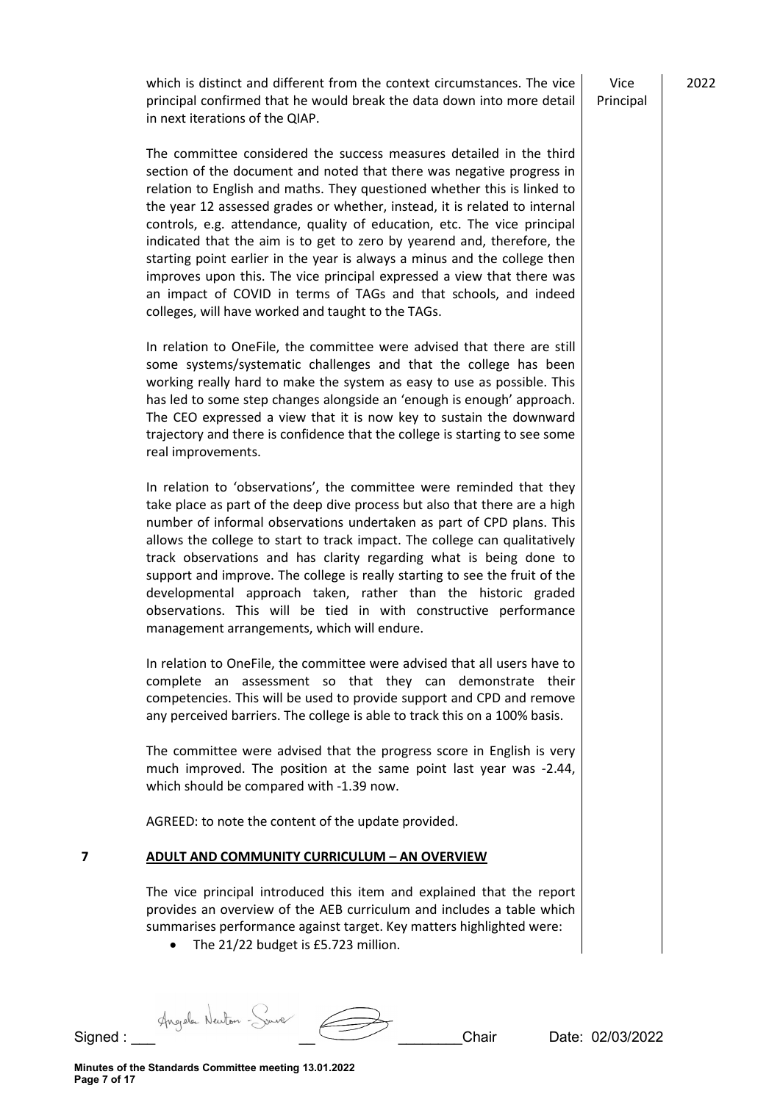which is distinct and different from the context circumstances. The vice principal confirmed that he would break the data down into more detail in next iterations of the QIAP.

Vice Principal 2022

The committee considered the success measures detailed in the third section of the document and noted that there was negative progress in relation to English and maths. They questioned whether this is linked to the year 12 assessed grades or whether, instead, it is related to internal controls, e.g. attendance, quality of education, etc. The vice principal indicated that the aim is to get to zero by yearend and, therefore, the starting point earlier in the year is always a minus and the college then improves upon this. The vice principal expressed a view that there was an impact of COVID in terms of TAGs and that schools, and indeed colleges, will have worked and taught to the TAGs.

In relation to OneFile, the committee were advised that there are still some systems/systematic challenges and that the college has been working really hard to make the system as easy to use as possible. This has led to some step changes alongside an 'enough is enough' approach. The CEO expressed a view that it is now key to sustain the downward trajectory and there is confidence that the college is starting to see some real improvements.

In relation to 'observations', the committee were reminded that they take place as part of the deep dive process but also that there are a high number of informal observations undertaken as part of CPD plans. This allows the college to start to track impact. The college can qualitatively track observations and has clarity regarding what is being done to support and improve. The college is really starting to see the fruit of the developmental approach taken, rather than the historic graded observations. This will be tied in with constructive performance management arrangements, which will endure.

In relation to OneFile, the committee were advised that all users have to complete an assessment so that they can demonstrate their competencies. This will be used to provide support and CPD and remove any perceived barriers. The college is able to track this on a 100% basis.

The committee were advised that the progress score in English is very much improved. The position at the same point last year was -2.44, which should be compared with -1.39 now.

AGREED: to note the content of the update provided.

### **7 ADULT AND COMMUNITY CURRICULUM – AN OVERVIEW**

The vice principal introduced this item and explained that the report provides an overview of the AEB curriculum and includes a table which summarises performance against target. Key matters highlighted were:

• The 21/22 budget is £5.723 million.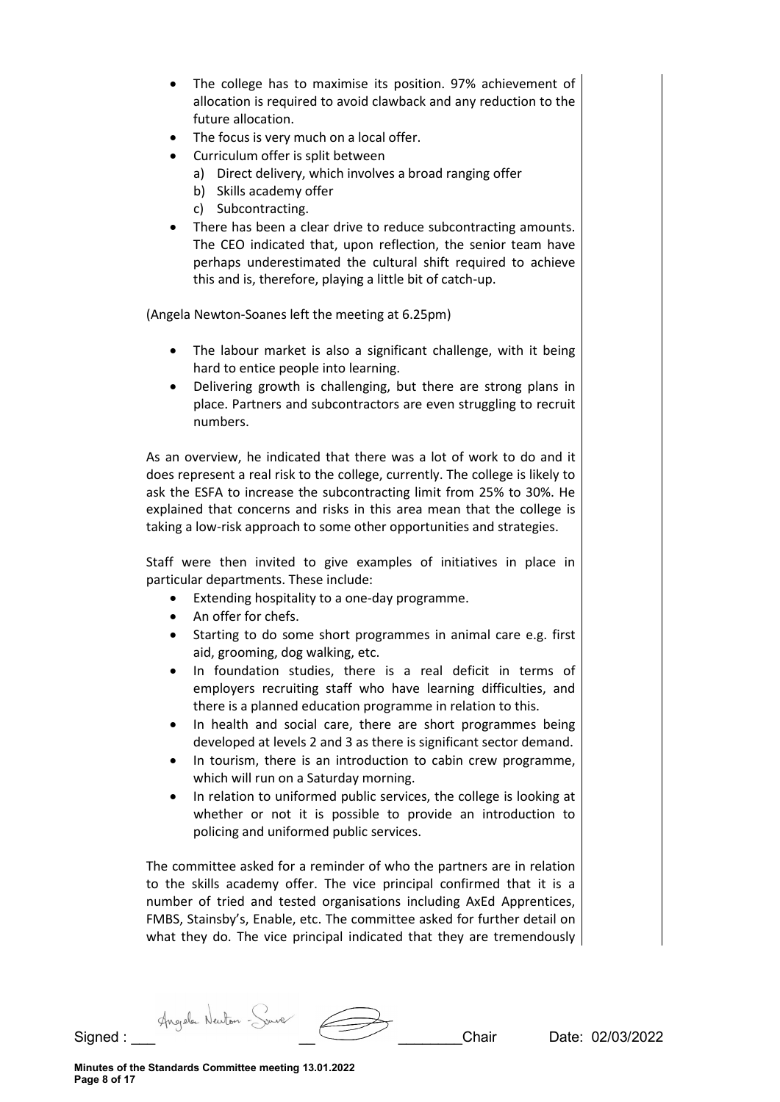- The college has to maximise its position. 97% achievement of allocation is required to avoid clawback and any reduction to the future allocation.
- The focus is very much on a local offer.
- Curriculum offer is split between
	- a) Direct delivery, which involves a broad ranging offer
	- b) Skills academy offer
	- c) Subcontracting.
- There has been a clear drive to reduce subcontracting amounts. The CEO indicated that, upon reflection, the senior team have perhaps underestimated the cultural shift required to achieve this and is, therefore, playing a little bit of catch-up.

(Angela Newton-Soanes left the meeting at 6.25pm)

- The labour market is also a significant challenge, with it being hard to entice people into learning.
- Delivering growth is challenging, but there are strong plans in place. Partners and subcontractors are even struggling to recruit numbers.

As an overview, he indicated that there was a lot of work to do and it does represent a real risk to the college, currently. The college is likely to ask the ESFA to increase the subcontracting limit from 25% to 30%. He explained that concerns and risks in this area mean that the college is taking a low-risk approach to some other opportunities and strategies.

Staff were then invited to give examples of initiatives in place in particular departments. These include:

- Extending hospitality to a one-day programme.
- An offer for chefs.
- Starting to do some short programmes in animal care e.g. first aid, grooming, dog walking, etc.
- In foundation studies, there is a real deficit in terms of employers recruiting staff who have learning difficulties, and there is a planned education programme in relation to this.
- In health and social care, there are short programmes being developed at levels 2 and 3 as there is significant sector demand.
- In tourism, there is an introduction to cabin crew programme, which will run on a Saturday morning.
- In relation to uniformed public services, the college is looking at whether or not it is possible to provide an introduction to policing and uniformed public services.

The committee asked for a reminder of who the partners are in relation to the skills academy offer. The vice principal confirmed that it is a number of tried and tested organisations including AxEd Apprentices, FMBS, Stainsby's, Enable, etc. The committee asked for further detail on what they do. The vice principal indicated that they are tremendously

Signed : Angele Neuton - Source \_ \_ \_ \_ \_ \_ \_ \_ \_ \_ \_ Chair Date: 02/03/2022

**Minutes of the Standards Committee meeting 13.01.2022 Page 8 of 17**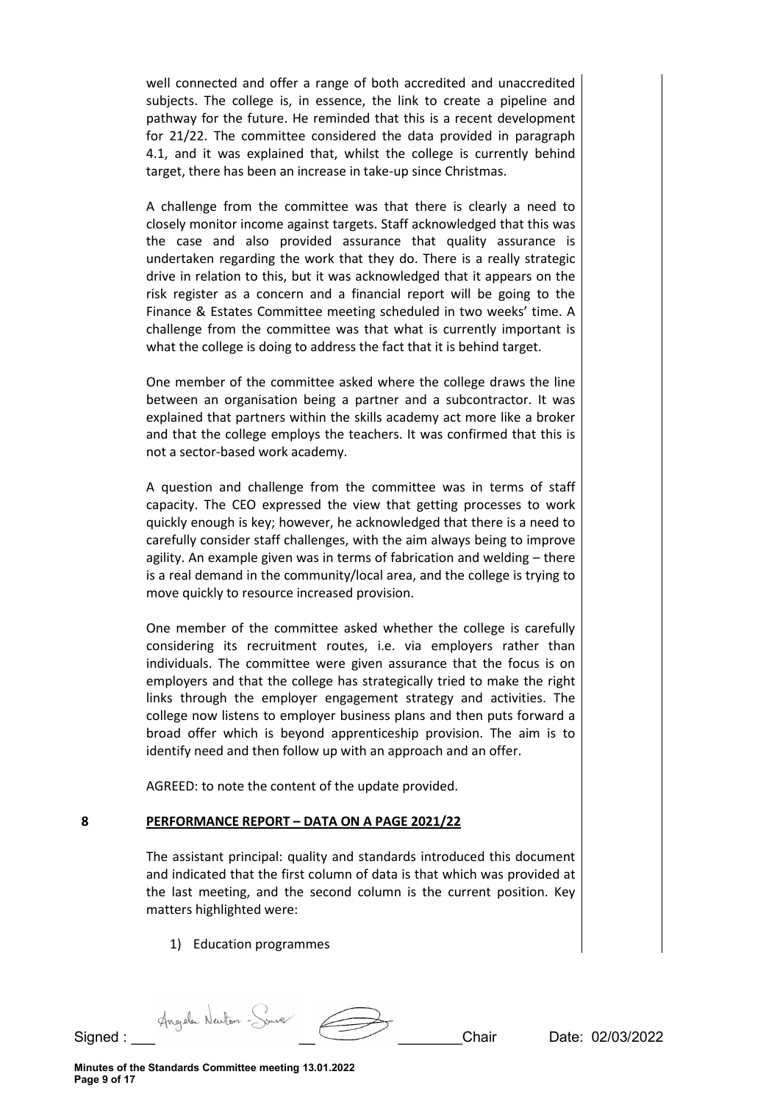well connected and offer a range of both accredited and unaccredited subjects. The college is, in essence, the link to create a pipeline and pathway for the future. He reminded that this is a recent development for 21/22. The committee considered the data provided in paragraph 4.1, and it was explained that, whilst the college is currently behind target, there has been an increase in take-up since Christmas.

A challenge from the committee was that there is clearly a need to closely monitor income against targets. Staff acknowledged that this was the case and also provided assurance that quality assurance is undertaken regarding the work that they do. There is a really strategic drive in relation to this, but it was acknowledged that it appears on the risk register as a concern and a financial report will be going to the Finance & Estates Committee meeting scheduled in two weeks' time. A challenge from the committee was that what is currently important is what the college is doing to address the fact that it is behind target.

One member of the committee asked where the college draws the line between an organisation being a partner and a subcontractor. It was explained that partners within the skills academy act more like a broker and that the college employs the teachers. It was confirmed that this is not a sector-based work academy.

A question and challenge from the committee was in terms of staff capacity. The CEO expressed the view that getting processes to work quickly enough is key; however, he acknowledged that there is a need to carefully consider staff challenges, with the aim always being to improve agility. An example given was in terms of fabrication and welding – there is a real demand in the community/local area, and the college is trying to move quickly to resource increased provision.

One member of the committee asked whether the college is carefully considering its recruitment routes, i.e. via employers rather than individuals. The committee were given assurance that the focus is on employers and that the college has strategically tried to make the right links through the employer engagement strategy and activities. The college now listens to employer business plans and then puts forward a broad offer which is beyond apprenticeship provision. The aim is to identify need and then follow up with an approach and an offer.

AGREED: to note the content of the update provided.

# **8 PERFORMANCE REPORT – DATA ON A PAGE 2021/22**

The assistant principal: quality and standards introduced this document and indicated that the first column of data is that which was provided at the last meeting, and the second column is the current position. Key matters highlighted were:

1) Education programmes

Signed : Angela Newton - Source \_ \_ \_ \_ \_ \_ \_ \_ \_ \_ \_ \_ Chair Date: 02/03/2022

**Minutes of the Standards Committee meeting 13.01.2022 Page 9 of 17**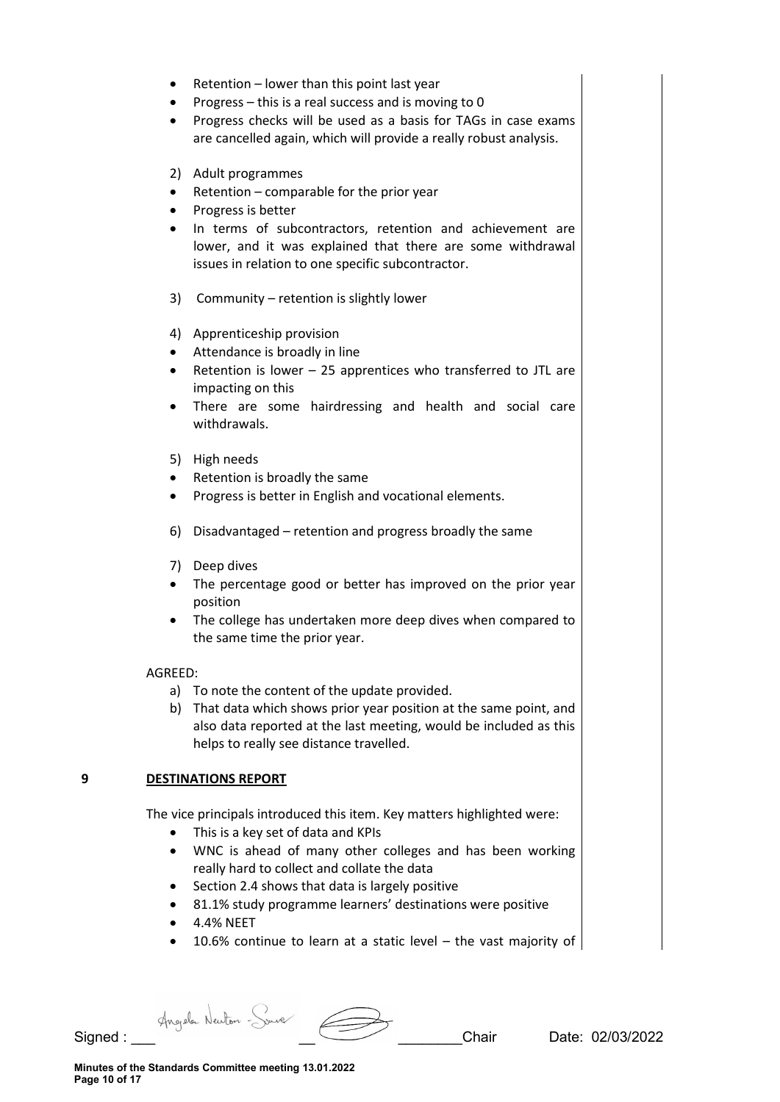- Retention lower than this point last year
- Progress this is a real success and is moving to 0
- Progress checks will be used as a basis for TAGs in case exams are cancelled again, which will provide a really robust analysis.
- 2) Adult programmes
- Retention comparable for the prior year
- Progress is better
- In terms of subcontractors, retention and achievement are lower, and it was explained that there are some withdrawal issues in relation to one specific subcontractor.
- 3) Community retention is slightly lower
- 4) Apprenticeship provision
- Attendance is broadly in line
- Retention is lower 25 apprentices who transferred to JTL are impacting on this
- There are some hairdressing and health and social care withdrawals.
- 5) High needs
- Retention is broadly the same
- Progress is better in English and vocational elements.
- 6) Disadvantaged retention and progress broadly the same
- 7) Deep dives
- The percentage good or better has improved on the prior year position
- The college has undertaken more deep dives when compared to the same time the prior year.

### AGREED:

- a) To note the content of the update provided.
- b) That data which shows prior year position at the same point, and also data reported at the last meeting, would be included as this helps to really see distance travelled.

# **9 DESTINATIONS REPORT**

The vice principals introduced this item. Key matters highlighted were:

- This is a key set of data and KPIs
- WNC is ahead of many other colleges and has been working really hard to collect and collate the data
- Section 2.4 shows that data is largely positive
- 81.1% study programme learners' destinations were positive
- 4.4% NEET
- 10.6% continue to learn at a static level the vast majority of

Signed : Angele Neuton Source 2003/2022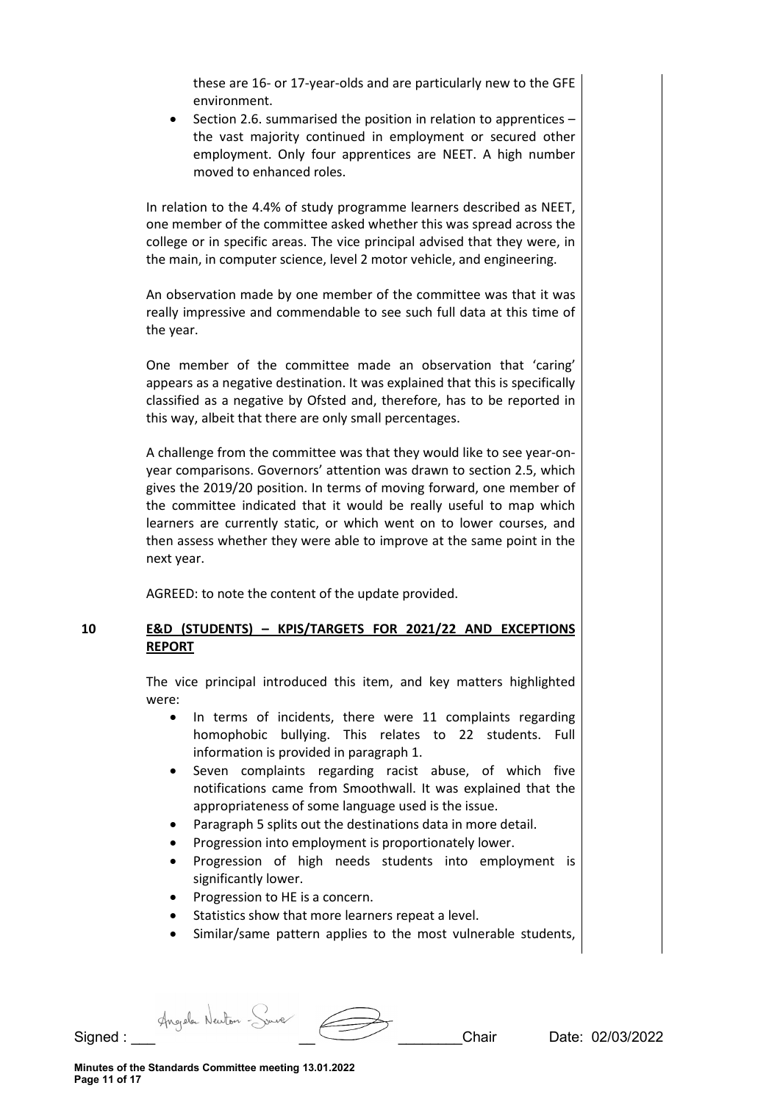these are 16- or 17-year-olds and are particularly new to the GFE environment.

• Section 2.6. summarised the position in relation to apprentices – the vast majority continued in employment or secured other employment. Only four apprentices are NEET. A high number moved to enhanced roles.

In relation to the 4.4% of study programme learners described as NEET, one member of the committee asked whether this was spread across the college or in specific areas. The vice principal advised that they were, in the main, in computer science, level 2 motor vehicle, and engineering.

An observation made by one member of the committee was that it was really impressive and commendable to see such full data at this time of the year.

One member of the committee made an observation that 'caring' appears as a negative destination. It was explained that this is specifically classified as a negative by Ofsted and, therefore, has to be reported in this way, albeit that there are only small percentages.

A challenge from the committee was that they would like to see year-onyear comparisons. Governors' attention was drawn to section 2.5, which gives the 2019/20 position. In terms of moving forward, one member of the committee indicated that it would be really useful to map which learners are currently static, or which went on to lower courses, and then assess whether they were able to improve at the same point in the next year.

AGREED: to note the content of the update provided.

### **10 E&D (STUDENTS) – KPIS/TARGETS FOR 2021/22 AND EXCEPTIONS REPORT**

The vice principal introduced this item, and key matters highlighted were:

- In terms of incidents, there were 11 complaints regarding homophobic bullying. This relates to 22 students. Full information is provided in paragraph 1.
- Seven complaints regarding racist abuse, of which five notifications came from Smoothwall. It was explained that the appropriateness of some language used is the issue.
- Paragraph 5 splits out the destinations data in more detail.
- Progression into employment is proportionately lower.
- Progression of high needs students into employment is significantly lower.
- Progression to HE is a concern.
- Statistics show that more learners repeat a level.
- Similar/same pattern applies to the most vulnerable students,

Signed : Angele Neuton - Source 2003/2022<br>Chair Date: 02/03/2022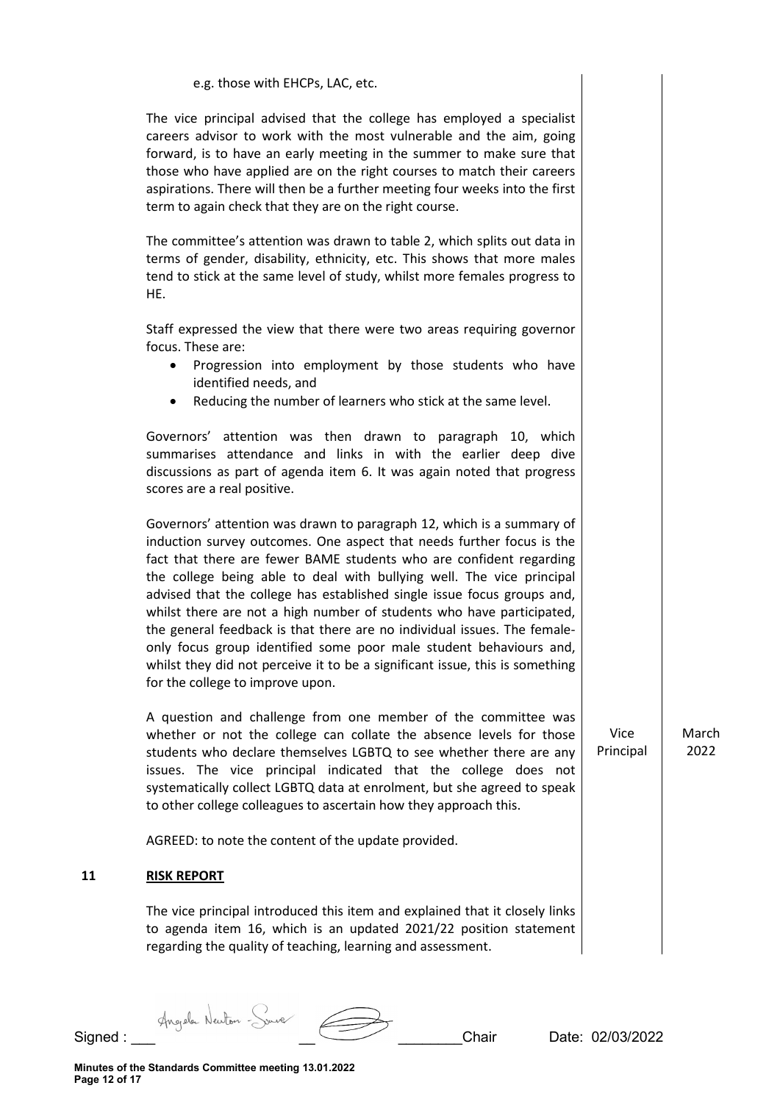| e.g. those with EHCPs, LAC, etc.                                                                                                                                                                                                                                                                                                                                                                                                                                                                                                                                                                                                                                                                                         |                   |               |
|--------------------------------------------------------------------------------------------------------------------------------------------------------------------------------------------------------------------------------------------------------------------------------------------------------------------------------------------------------------------------------------------------------------------------------------------------------------------------------------------------------------------------------------------------------------------------------------------------------------------------------------------------------------------------------------------------------------------------|-------------------|---------------|
| The vice principal advised that the college has employed a specialist<br>careers advisor to work with the most vulnerable and the aim, going<br>forward, is to have an early meeting in the summer to make sure that<br>those who have applied are on the right courses to match their careers<br>aspirations. There will then be a further meeting four weeks into the first<br>term to again check that they are on the right course.                                                                                                                                                                                                                                                                                  |                   |               |
| The committee's attention was drawn to table 2, which splits out data in<br>terms of gender, disability, ethnicity, etc. This shows that more males<br>tend to stick at the same level of study, whilst more females progress to<br>HE.                                                                                                                                                                                                                                                                                                                                                                                                                                                                                  |                   |               |
| Staff expressed the view that there were two areas requiring governor<br>focus. These are:<br>Progression into employment by those students who have<br>$\bullet$<br>identified needs, and<br>Reducing the number of learners who stick at the same level.<br>$\bullet$                                                                                                                                                                                                                                                                                                                                                                                                                                                  |                   |               |
| Governors' attention was then drawn to paragraph 10, which<br>summarises attendance and links in with the earlier deep dive<br>discussions as part of agenda item 6. It was again noted that progress<br>scores are a real positive.                                                                                                                                                                                                                                                                                                                                                                                                                                                                                     |                   |               |
| Governors' attention was drawn to paragraph 12, which is a summary of<br>induction survey outcomes. One aspect that needs further focus is the<br>fact that there are fewer BAME students who are confident regarding<br>the college being able to deal with bullying well. The vice principal<br>advised that the college has established single issue focus groups and,<br>whilst there are not a high number of students who have participated,<br>the general feedback is that there are no individual issues. The female-<br>only focus group identified some poor male student behaviours and,<br>whilst they did not perceive it to be a significant issue, this is something<br>for the college to improve upon. |                   |               |
| A question and challenge from one member of the committee was<br>whether or not the college can collate the absence levels for those<br>students who declare themselves LGBTQ to see whether there are any<br>issues. The vice principal indicated that the college does not<br>systematically collect LGBTQ data at enrolment, but she agreed to speak<br>to other college colleagues to ascertain how they approach this.                                                                                                                                                                                                                                                                                              | Vice<br>Principal | March<br>2022 |
| AGREED: to note the content of the update provided.                                                                                                                                                                                                                                                                                                                                                                                                                                                                                                                                                                                                                                                                      |                   |               |
| <b>RISK REPORT</b>                                                                                                                                                                                                                                                                                                                                                                                                                                                                                                                                                                                                                                                                                                       |                   |               |
| The vice principal introduced this item and explained that it closely links<br>to agenda item 16, which is an updated 2021/22 position statement<br>regarding the quality of teaching, learning and assessment.                                                                                                                                                                                                                                                                                                                                                                                                                                                                                                          |                   |               |

**11 RISK REPORT** 

Signed : \_\_\_ Angele Newton - Source \_\_\_\_\_\_\_\_\_\_\_\_\_\_\_\_\_\_\_\_\_\_\_\_Chair Date: 02/03/2022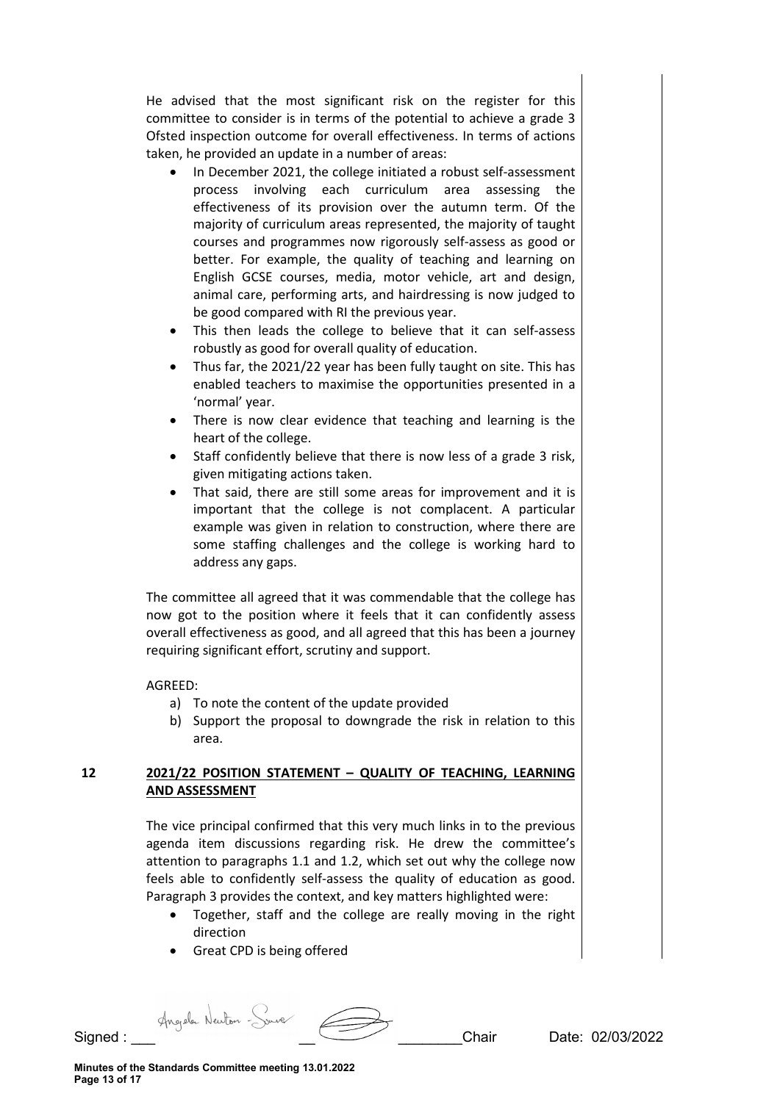He advised that the most significant risk on the register for this committee to consider is in terms of the potential to achieve a grade 3 Ofsted inspection outcome for overall effectiveness. In terms of actions taken, he provided an update in a number of areas:

- In December 2021, the college initiated a robust self-assessment process involving each curriculum area assessing the effectiveness of its provision over the autumn term. Of the majority of curriculum areas represented, the majority of taught courses and programmes now rigorously self-assess as good or better. For example, the quality of teaching and learning on English GCSE courses, media, motor vehicle, art and design, animal care, performing arts, and hairdressing is now judged to be good compared with RI the previous year.
- This then leads the college to believe that it can self-assess robustly as good for overall quality of education.
- Thus far, the 2021/22 year has been fully taught on site. This has enabled teachers to maximise the opportunities presented in a 'normal' year.
- There is now clear evidence that teaching and learning is the heart of the college.
- Staff confidently believe that there is now less of a grade 3 risk, given mitigating actions taken.
- That said, there are still some areas for improvement and it is important that the college is not complacent. A particular example was given in relation to construction, where there are some staffing challenges and the college is working hard to address any gaps.

The committee all agreed that it was commendable that the college has now got to the position where it feels that it can confidently assess overall effectiveness as good, and all agreed that this has been a journey requiring significant effort, scrutiny and support.

# AGREED:

- a) To note the content of the update provided
- b) Support the proposal to downgrade the risk in relation to this area.

# **12 2021/22 POSITION STATEMENT – QUALITY OF TEACHING, LEARNING AND ASSESSMENT**

The vice principal confirmed that this very much links in to the previous agenda item discussions regarding risk. He drew the committee's attention to paragraphs 1.1 and 1.2, which set out why the college now feels able to confidently self-assess the quality of education as good. Paragraph 3 provides the context, and key matters highlighted were:

- Together, staff and the college are really moving in the right direction
- Great CPD is being offered

Signed : Angele Neuton - Source **Communication**<br>Chair Date: 02/03/2022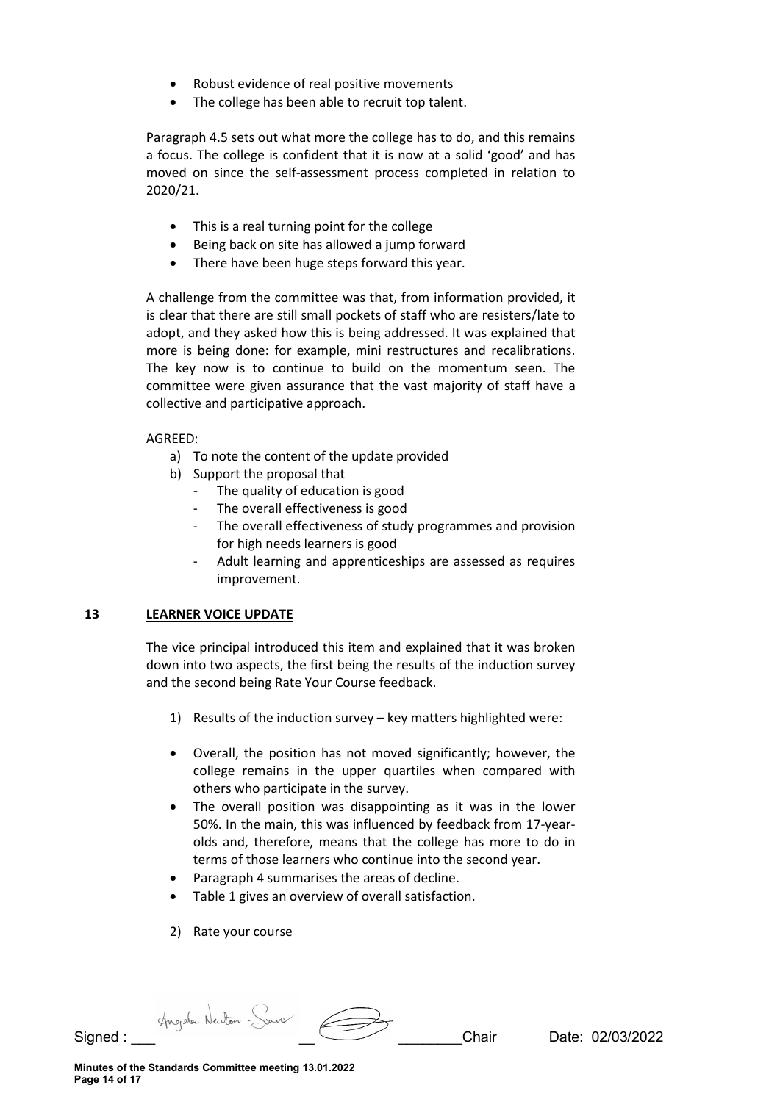- Robust evidence of real positive movements
- The college has been able to recruit top talent.

Paragraph 4.5 sets out what more the college has to do, and this remains a focus. The college is confident that it is now at a solid 'good' and has moved on since the self-assessment process completed in relation to 2020/21.

- This is a real turning point for the college
- Being back on site has allowed a jump forward
- There have been huge steps forward this year.

A challenge from the committee was that, from information provided, it is clear that there are still small pockets of staff who are resisters/late to adopt, and they asked how this is being addressed. It was explained that more is being done: for example, mini restructures and recalibrations. The key now is to continue to build on the momentum seen. The committee were given assurance that the vast majority of staff have a collective and participative approach.

AGREED:

- a) To note the content of the update provided
- b) Support the proposal that
	- The quality of education is good
	- The overall effectiveness is good
	- The overall effectiveness of study programmes and provision for high needs learners is good
	- Adult learning and apprenticeships are assessed as requires improvement.

# **13 LEARNER VOICE UPDATE**

The vice principal introduced this item and explained that it was broken down into two aspects, the first being the results of the induction survey and the second being Rate Your Course feedback.

- 1) Results of the induction survey key matters highlighted were:
- Overall, the position has not moved significantly; however, the college remains in the upper quartiles when compared with others who participate in the survey.
- The overall position was disappointing as it was in the lower 50%. In the main, this was influenced by feedback from 17-yearolds and, therefore, means that the college has more to do in terms of those learners who continue into the second year.
- Paragraph 4 summarises the areas of decline.
- Table 1 gives an overview of overall satisfaction.
- 2) Rate your course

Signed : \_\_\_ \_\_ \_\_\_\_\_\_\_\_Chair Date: 02/03/2022

**Minutes of the Standards Committee meeting 13.01.2022 Page 14 of 17**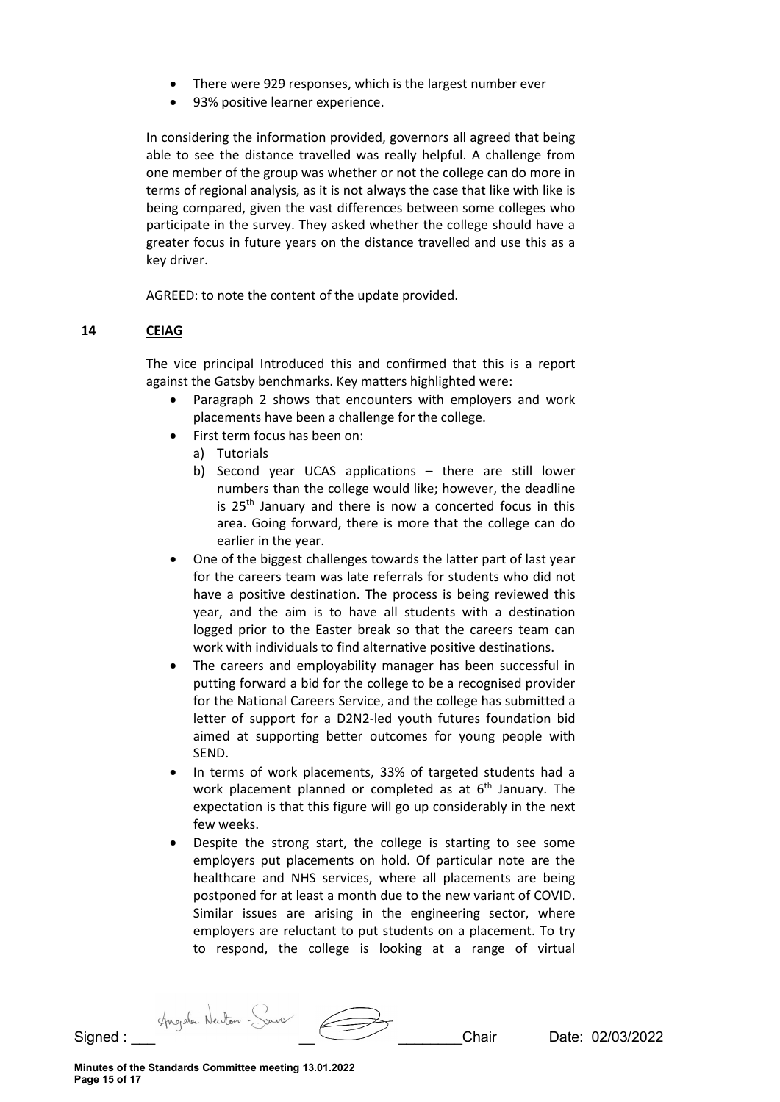- There were 929 responses, which is the largest number ever
- 93% positive learner experience.

In considering the information provided, governors all agreed that being able to see the distance travelled was really helpful. A challenge from one member of the group was whether or not the college can do more in terms of regional analysis, as it is not always the case that like with like is being compared, given the vast differences between some colleges who participate in the survey. They asked whether the college should have a greater focus in future years on the distance travelled and use this as a key driver.

AGREED: to note the content of the update provided.

### **14 CEIAG**

The vice principal Introduced this and confirmed that this is a report against the Gatsby benchmarks. Key matters highlighted were:

- Paragraph 2 shows that encounters with employers and work placements have been a challenge for the college.
- First term focus has been on:
	- a) Tutorials
	- b) Second year UCAS applications there are still lower numbers than the college would like; however, the deadline is  $25<sup>th</sup>$  January and there is now a concerted focus in this area. Going forward, there is more that the college can do earlier in the year.
- One of the biggest challenges towards the latter part of last year for the careers team was late referrals for students who did not have a positive destination. The process is being reviewed this year, and the aim is to have all students with a destination logged prior to the Easter break so that the careers team can work with individuals to find alternative positive destinations.
- The careers and employability manager has been successful in putting forward a bid for the college to be a recognised provider for the National Careers Service, and the college has submitted a letter of support for a D2N2-led youth futures foundation bid aimed at supporting better outcomes for young people with SEND.
- In terms of work placements, 33% of targeted students had a work placement planned or completed as at  $6<sup>th</sup>$  January. The expectation is that this figure will go up considerably in the next few weeks.
- Despite the strong start, the college is starting to see some employers put placements on hold. Of particular note are the healthcare and NHS services, where all placements are being postponed for at least a month due to the new variant of COVID. Similar issues are arising in the engineering sector, where employers are reluctant to put students on a placement. To try to respond, the college is looking at a range of virtual

Signed : Angele Neuton - Source **Communication**<br>Chair Date: 02/03/2022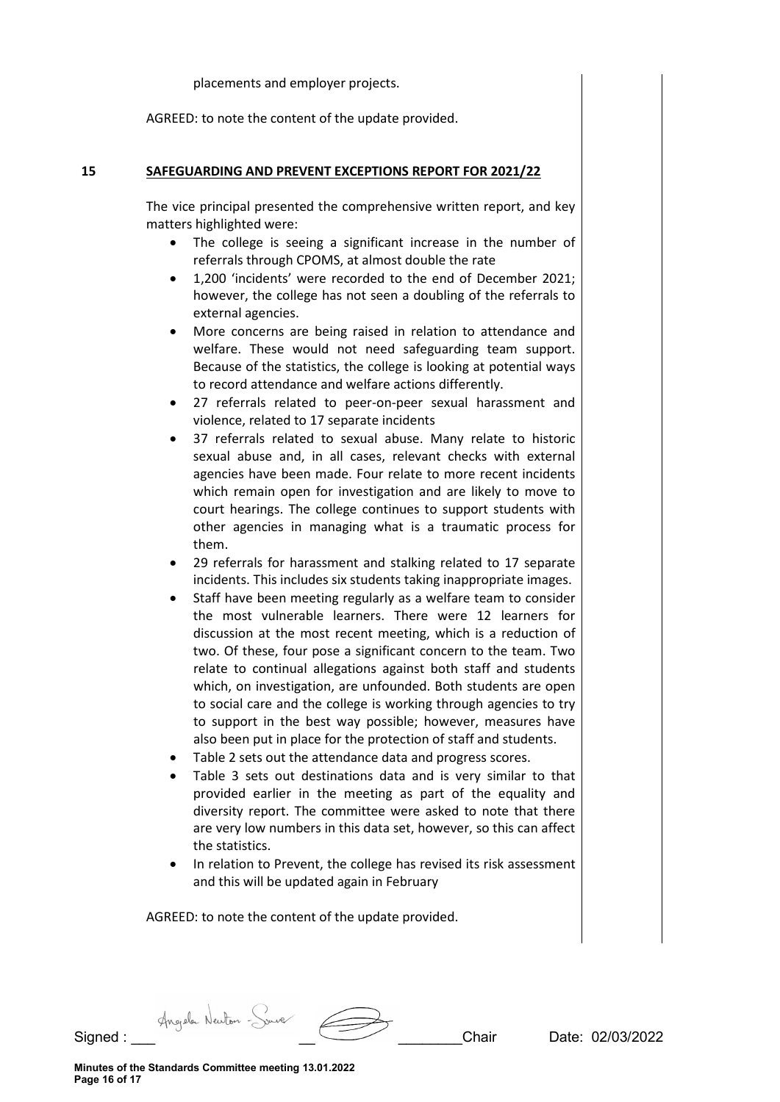placements and employer projects.

AGREED: to note the content of the update provided.

### **15 SAFEGUARDING AND PREVENT EXCEPTIONS REPORT FOR 2021/22**

The vice principal presented the comprehensive written report, and key matters highlighted were:

- The college is seeing a significant increase in the number of referrals through CPOMS, at almost double the rate
- 1,200 'incidents' were recorded to the end of December 2021; however, the college has not seen a doubling of the referrals to external agencies.
- More concerns are being raised in relation to attendance and welfare. These would not need safeguarding team support. Because of the statistics, the college is looking at potential ways to record attendance and welfare actions differently.
- 27 referrals related to peer-on-peer sexual harassment and violence, related to 17 separate incidents
- 37 referrals related to sexual abuse. Many relate to historic sexual abuse and, in all cases, relevant checks with external agencies have been made. Four relate to more recent incidents which remain open for investigation and are likely to move to court hearings. The college continues to support students with other agencies in managing what is a traumatic process for them.
- 29 referrals for harassment and stalking related to 17 separate incidents. This includes six students taking inappropriate images.
- Staff have been meeting regularly as a welfare team to consider the most vulnerable learners. There were 12 learners for discussion at the most recent meeting, which is a reduction of two. Of these, four pose a significant concern to the team. Two relate to continual allegations against both staff and students which, on investigation, are unfounded. Both students are open to social care and the college is working through agencies to try to support in the best way possible; however, measures have also been put in place for the protection of staff and students.
- Table 2 sets out the attendance data and progress scores.
- Table 3 sets out destinations data and is very similar to that provided earlier in the meeting as part of the equality and diversity report. The committee were asked to note that there are very low numbers in this data set, however, so this can affect the statistics.
- In relation to Prevent, the college has revised its risk assessment and this will be updated again in February

AGREED: to note the content of the update provided.

Signed : \_\_\_ \_\_ \_\_\_\_\_\_\_\_Chair Date: 02/03/2022